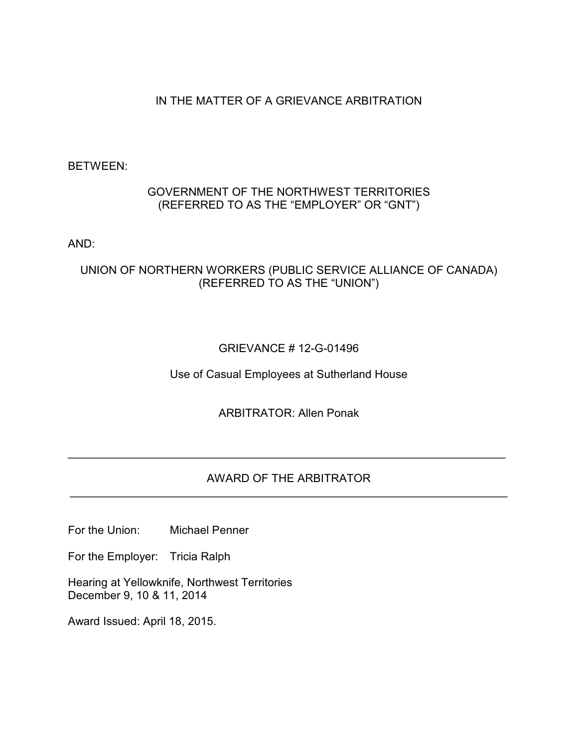# IN THE MATTER OF A GRIEVANCE ARBITRATION

## BETWEEN:

## GOVERNMENT OF THE NORTHWEST TERRITORIES (REFERRED TO AS THE "EMPLOYER" OR "GNT")

AND:

# UNION OF NORTHERN WORKERS (PUBLIC SERVICE ALLIANCE OF CANADA) (REFERRED TO AS THE "UNION")

# GRIEVANCE # 12-G-01496

Use of Casual Employees at Sutherland House

ARBITRATOR: Allen Ponak

## AWARD OF THE ARBITRATOR \_\_\_\_\_\_\_\_\_\_\_\_\_\_\_\_\_\_\_\_\_\_\_\_\_\_\_\_\_\_\_\_\_\_\_\_\_\_\_\_\_\_\_\_\_\_\_\_\_\_\_\_\_\_\_\_\_\_\_\_\_\_\_\_\_\_\_\_\_

\_\_\_\_\_\_\_\_\_\_\_\_\_\_\_\_\_\_\_\_\_\_\_\_\_\_\_\_\_\_\_\_\_\_\_\_\_\_\_\_\_\_\_\_\_\_\_\_\_\_\_\_\_\_\_\_\_\_\_\_\_\_\_\_\_\_\_\_\_

For the Union: Michael Penner

For the Employer: Tricia Ralph

Hearing at Yellowknife, Northwest Territories December 9, 10 & 11, 2014

Award Issued: April 18, 2015.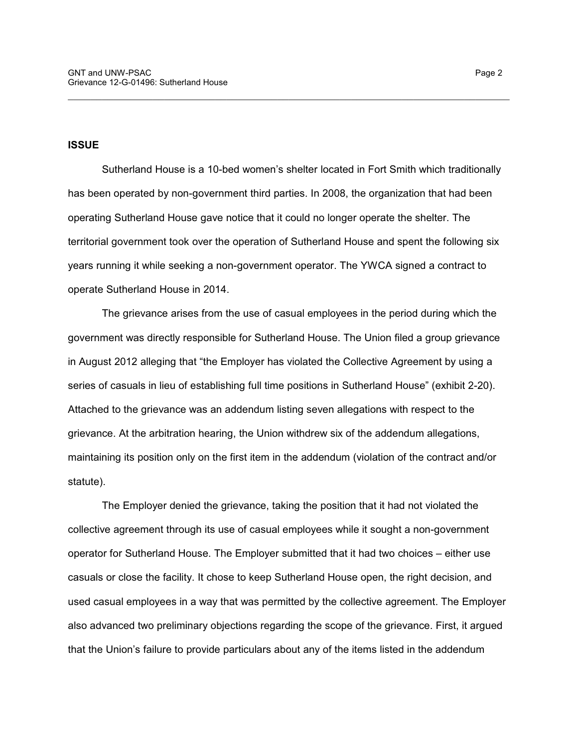### **ISSUE**

Sutherland House is a 10-bed women's shelter located in Fort Smith which traditionally has been operated by non-government third parties. In 2008, the organization that had been operating Sutherland House gave notice that it could no longer operate the shelter. The territorial government took over the operation of Sutherland House and spent the following six years running it while seeking a non-government operator. The YWCA signed a contract to operate Sutherland House in 2014.

\_\_\_\_\_\_\_\_\_\_\_\_\_\_\_\_\_\_\_\_\_\_\_\_\_\_\_\_\_\_\_\_\_\_\_\_\_\_\_\_\_\_\_\_\_\_\_\_\_\_\_\_\_\_\_\_\_\_\_\_\_\_\_\_\_\_\_\_\_\_\_\_\_\_\_\_\_\_

The grievance arises from the use of casual employees in the period during which the government was directly responsible for Sutherland House. The Union filed a group grievance in August 2012 alleging that "the Employer has violated the Collective Agreement by using a series of casuals in lieu of establishing full time positions in Sutherland House" (exhibit 2-20). Attached to the grievance was an addendum listing seven allegations with respect to the grievance. At the arbitration hearing, the Union withdrew six of the addendum allegations, maintaining its position only on the first item in the addendum (violation of the contract and/or statute).

The Employer denied the grievance, taking the position that it had not violated the collective agreement through its use of casual employees while it sought a non-government operator for Sutherland House. The Employer submitted that it had two choices – either use casuals or close the facility. It chose to keep Sutherland House open, the right decision, and used casual employees in a way that was permitted by the collective agreement. The Employer also advanced two preliminary objections regarding the scope of the grievance. First, it argued that the Union's failure to provide particulars about any of the items listed in the addendum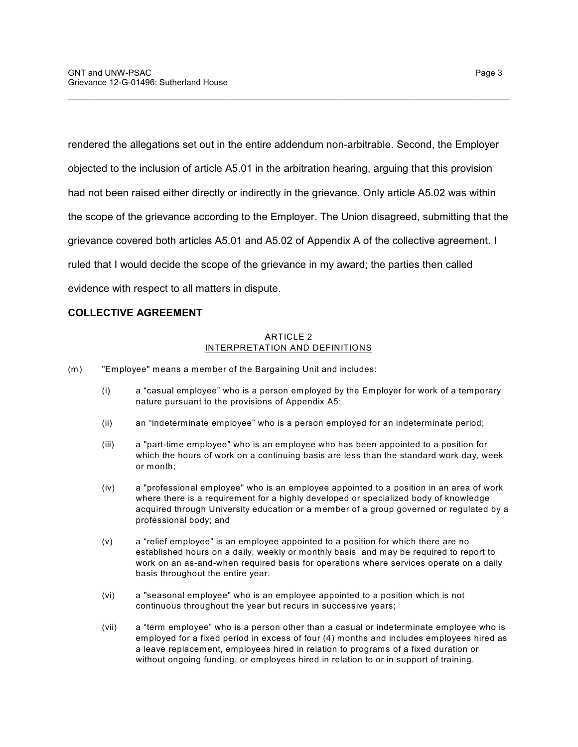rendered the allegations set out in the entire addendum non-arbitrable. Second, the Employer objected to the inclusion of article A5.01 in the arbitration hearing, arguing that this provision had not been raised either directly or indirectly in the grievance. Only article A5.02 was within the scope of the grievance according to the Employer. The Union disagreed, submitting that the grievance covered both articles A5.01 and A5.02 of Appendix A of the collective agreement. I ruled that I would decide the scope of the grievance in my award; the parties then called evidence with respect to all matters in dispute.

\_\_\_\_\_\_\_\_\_\_\_\_\_\_\_\_\_\_\_\_\_\_\_\_\_\_\_\_\_\_\_\_\_\_\_\_\_\_\_\_\_\_\_\_\_\_\_\_\_\_\_\_\_\_\_\_\_\_\_\_\_\_\_\_\_\_\_\_\_\_\_\_\_\_\_\_\_\_

## **COLLECTIVE AGREEMENT**

### ARTICLE 2 INTERPRETATION AND DEFINITIONS

- (m) "Employee" means a member of the Bargaining Unit and includes:
	- (i) a "casual employee" who is a person employed by the Employer for work of a temporary nature pursuant to the provisions of Appendix A5;
	- (ii) an "indeterminate employee" who is a person employed for an indeterminate period;
	- (iii) a "part-time employee" who is an employee who has been appointed to a position for which the hours of work on a continuing basis are less than the standard work day, week or month;
	- (iv) a "professional employee" who is an employee appointed to a position in an area of work where there is a requirement for a highly developed or specialized body of knowledge acquired through University education or a member of a group governed or regulated by a professional body; and
	- (v) a "relief employee" is an employee appointed to a position for which there are no established hours on a daily, weekly or monthly basis and may be required to report to work on an as-and-when required basis for operations where services operate on a daily basis throughout the entire year.
	- (vi) a "seasonal employee" who is an employee appointed to a position which is not continuous throughout the year but recurs in successive years;
	- (vii) a "term employee" who is a person other than a casual or indeterminate employee who is employed for a fixed period in excess of four (4) months and includes employees hired as a leave replacement, employees hired in relation to programs of a fixed duration or without ongoing funding, or employees hired in relation to or in support of training.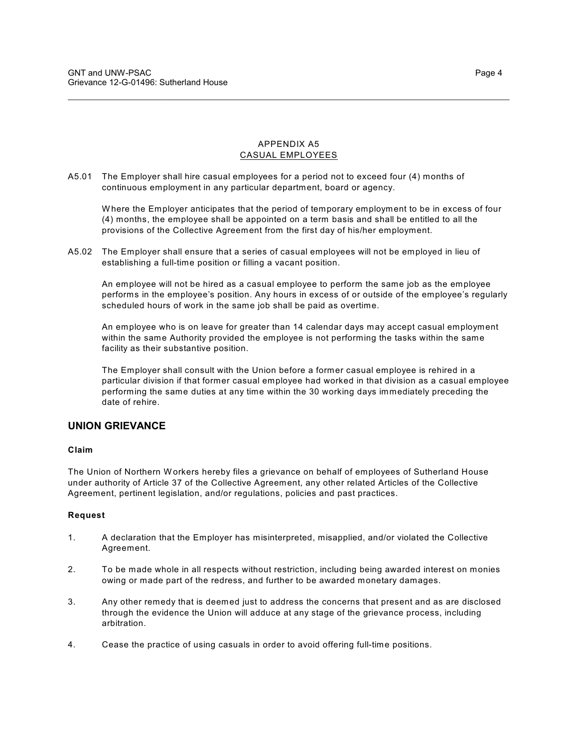#### APPENDIX A5 CASUAL EMPLOYEES

\_\_\_\_\_\_\_\_\_\_\_\_\_\_\_\_\_\_\_\_\_\_\_\_\_\_\_\_\_\_\_\_\_\_\_\_\_\_\_\_\_\_\_\_\_\_\_\_\_\_\_\_\_\_\_\_\_\_\_\_\_\_\_\_\_\_\_\_\_\_\_\_\_\_\_\_\_\_

A5.01 The Employer shall hire casual employees for a period not to exceed four (4) months of continuous employment in any particular department, board or agency.

W here the Employer anticipates that the period of temporary employment to be in excess of four (4) months, the employee shall be appointed on a term basis and shall be entitled to all the provisions of the Collective Agreement from the first day of his/her employment.

A5.02 The Employer shall ensure that a series of casual employees will not be employed in lieu of establishing a full-time position or filling a vacant position.

An employee will not be hired as a casual employee to perform the same job as the employee performs in the employee's position. Any hours in excess of or outside of the employee's regularly scheduled hours of work in the same job shall be paid as overtime.

An employee who is on leave for greater than 14 calendar days may accept casual employment within the same Authority provided the employee is not performing the tasks within the same facility as their substantive position.

The Employer shall consult with the Union before a former casual employee is rehired in a particular division if that former casual employee had worked in that division as a casual employee performing the same duties at any time within the 30 working days immediately preceding the date of rehire.

### **UNION GRIEVANCE**

### **Claim**

The Union of Northern Workers hereby files a grievance on behalf of employees of Sutherland House under authority of Article 37 of the Collective Agreement, any other related Articles of the Collective Agreement, pertinent legislation, and/or regulations, policies and past practices.

#### **Request**

- 1. A declaration that the Employer has misinterpreted, misapplied, and/or violated the Collective Agreement.
- 2. To be made whole in all respects without restriction, including being awarded interest on monies owing or made part of the redress, and further to be awarded monetary damages.
- 3. Any other remedy that is deemed just to address the concerns that present and as are disclosed through the evidence the Union will adduce at any stage of the grievance process, including arbitration.
- 4. Cease the practice of using casuals in order to avoid offering full-time positions.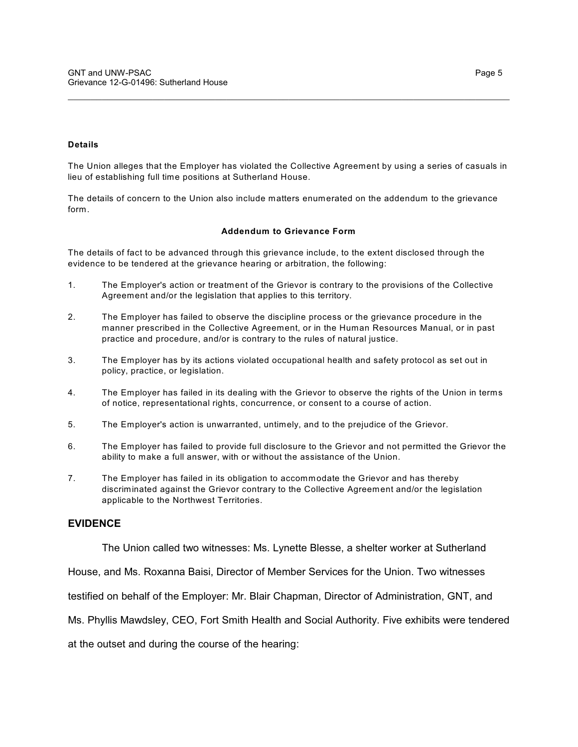#### **Details**

The Union alleges that the Employer has violated the Collective Agreement by using a series of casuals in lieu of establishing full time positions at Sutherland House.

\_\_\_\_\_\_\_\_\_\_\_\_\_\_\_\_\_\_\_\_\_\_\_\_\_\_\_\_\_\_\_\_\_\_\_\_\_\_\_\_\_\_\_\_\_\_\_\_\_\_\_\_\_\_\_\_\_\_\_\_\_\_\_\_\_\_\_\_\_\_\_\_\_\_\_\_\_\_

The details of concern to the Union also include matters enumerated on the addendum to the grievance form.

#### **Addendum to Grievance Form**

The details of fact to be advanced through this grievance include, to the extent disclosed through the evidence to be tendered at the grievance hearing or arbitration, the following:

- 1. The Employer's action or treatment of the Grievor is contrary to the provisions of the Collective Agreement and/or the legislation that applies to this territory.
- 2. The Employer has failed to observe the discipline process or the grievance procedure in the manner prescribed in the Collective Agreement, or in the Human Resources Manual, or in past practice and procedure, and/or is contrary to the rules of natural justice.
- 3. The Employer has by its actions violated occupational health and safety protocol as set out in policy, practice, or legislation.
- 4. The Employer has failed in its dealing with the Grievor to observe the rights of the Union in terms of notice, representational rights, concurrence, or consent to a course of action.
- 5. The Employer's action is unwarranted, untimely, and to the prejudice of the Grievor.
- 6. The Employer has failed to provide full disclosure to the Grievor and not permitted the Grievor the ability to make a full answer, with or without the assistance of the Union.
- 7. The Employer has failed in its obligation to accommodate the Grievor and has thereby discriminated against the Grievor contrary to the Collective Agreement and/or the legislation applicable to the Northwest Territories.

### **EVIDENCE**

The Union called two witnesses: Ms. Lynette Blesse, a shelter worker at Sutherland

House, and Ms. Roxanna Baisi, Director of Member Services for the Union. Two witnesses

testified on behalf of the Employer: Mr. Blair Chapman, Director of Administration, GNT, and

Ms. Phyllis Mawdsley, CEO, Fort Smith Health and Social Authority. Five exhibits were tendered

at the outset and during the course of the hearing: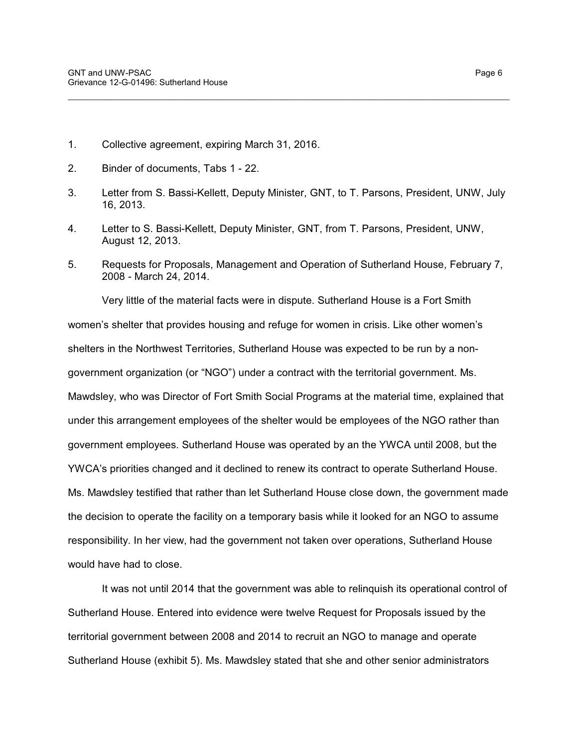- 1. Collective agreement, expiring March 31, 2016.
- 2. Binder of documents, Tabs 1 22.
- 3. Letter from S. Bassi-Kellett, Deputy Minister, GNT, to T. Parsons, President, UNW, July 16, 2013.

\_\_\_\_\_\_\_\_\_\_\_\_\_\_\_\_\_\_\_\_\_\_\_\_\_\_\_\_\_\_\_\_\_\_\_\_\_\_\_\_\_\_\_\_\_\_\_\_\_\_\_\_\_\_\_\_\_\_\_\_\_\_\_\_\_\_\_\_\_\_\_\_\_\_\_\_\_\_

- 4. Letter to S. Bassi-Kellett, Deputy Minister, GNT, from T. Parsons, President, UNW, August 12, 2013.
- 5. Requests for Proposals, Management and Operation of Sutherland House, February 7, 2008 - March 24, 2014.

Very little of the material facts were in dispute. Sutherland House is a Fort Smith women's shelter that provides housing and refuge for women in crisis. Like other women's shelters in the Northwest Territories, Sutherland House was expected to be run by a nongovernment organization (or "NGO") under a contract with the territorial government. Ms. Mawdsley, who was Director of Fort Smith Social Programs at the material time, explained that under this arrangement employees of the shelter would be employees of the NGO rather than government employees. Sutherland House was operated by an the YWCA until 2008, but the YWCA's priorities changed and it declined to renew its contract to operate Sutherland House. Ms. Mawdsley testified that rather than let Sutherland House close down, the government made the decision to operate the facility on a temporary basis while it looked for an NGO to assume responsibility. In her view, had the government not taken over operations, Sutherland House would have had to close.

It was not until 2014 that the government was able to relinquish its operational control of Sutherland House. Entered into evidence were twelve Request for Proposals issued by the territorial government between 2008 and 2014 to recruit an NGO to manage and operate Sutherland House (exhibit 5). Ms. Mawdsley stated that she and other senior administrators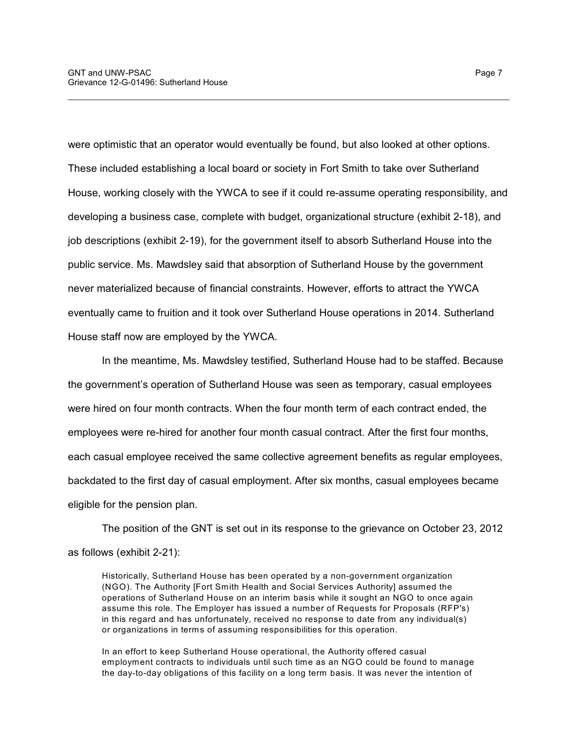were optimistic that an operator would eventually be found, but also looked at other options. These included establishing a local board or society in Fort Smith to take over Sutherland House, working closely with the YWCA to see if it could re-assume operating responsibility, and developing a business case, complete with budget, organizational structure (exhibit 2-18), and job descriptions (exhibit 2-19), for the government itself to absorb Sutherland House into the public service. Ms. Mawdsley said that absorption of Sutherland House by the government never materialized because of financial constraints. However, efforts to attract the YWCA eventually came to fruition and it took over Sutherland House operations in 2014. Sutherland House staff now are employed by the YWCA.

\_\_\_\_\_\_\_\_\_\_\_\_\_\_\_\_\_\_\_\_\_\_\_\_\_\_\_\_\_\_\_\_\_\_\_\_\_\_\_\_\_\_\_\_\_\_\_\_\_\_\_\_\_\_\_\_\_\_\_\_\_\_\_\_\_\_\_\_\_\_\_\_\_\_\_\_\_\_

In the meantime, Ms. Mawdsley testified, Sutherland House had to be staffed. Because the government's operation of Sutherland House was seen as temporary, casual employees were hired on four month contracts. When the four month term of each contract ended, the employees were re-hired for another four month casual contract. After the first four months, each casual employee received the same collective agreement benefits as regular employees, backdated to the first day of casual employment. After six months, casual employees became eligible for the pension plan.

The position of the GNT is set out in its response to the grievance on October 23, 2012 as follows (exhibit 2-21):

Historically, Sutherland House has been operated by a non-government organization (NGO). The Authority [Fort Smith Health and Social Services Authority] assumed the operations of Sutherland House on an interim basis while it sought an NGO to once again assume this role. The Employer has issued a number of Requests for Proposals (RFP's) in this regard and has unfortunately, received no response to date from any individual(s) or organizations in terms of assuming responsibilities for this operation.

In an effort to keep Sutherland House operational, the Authority offered casual employment contracts to individuals until such time as an NGO could be found to manage the day-to-day obligations of this facility on a long term basis. It was never the intention of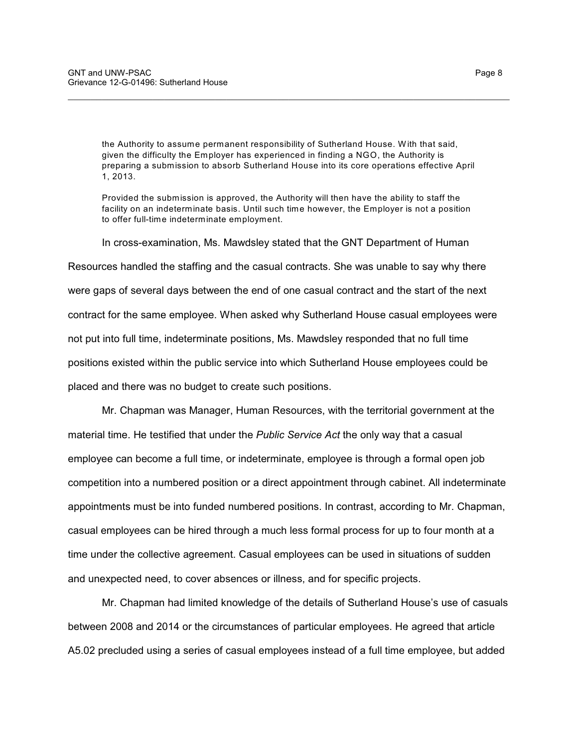the Authority to assume permanent responsibility of Sutherland House. W ith that said, given the difficulty the Employer has experienced in finding a NGO, the Authority is preparing a submission to absorb Sutherland House into its core operations effective April 1, 2013.

\_\_\_\_\_\_\_\_\_\_\_\_\_\_\_\_\_\_\_\_\_\_\_\_\_\_\_\_\_\_\_\_\_\_\_\_\_\_\_\_\_\_\_\_\_\_\_\_\_\_\_\_\_\_\_\_\_\_\_\_\_\_\_\_\_\_\_\_\_\_\_\_\_\_\_\_\_\_

Provided the submission is approved, the Authority will then have the ability to staff the facility on an indeterminate basis. Until such time however, the Employer is not a position to offer full-time indeterminate employment.

In cross-examination, Ms. Mawdsley stated that the GNT Department of Human Resources handled the staffing and the casual contracts. She was unable to say why there were gaps of several days between the end of one casual contract and the start of the next contract for the same employee. When asked why Sutherland House casual employees were not put into full time, indeterminate positions, Ms. Mawdsley responded that no full time positions existed within the public service into which Sutherland House employees could be placed and there was no budget to create such positions.

Mr. Chapman was Manager, Human Resources, with the territorial government at the material time. He testified that under the *Public Service Act* the only way that a casual employee can become a full time, or indeterminate, employee is through a formal open job competition into a numbered position or a direct appointment through cabinet. All indeterminate appointments must be into funded numbered positions. In contrast, according to Mr. Chapman, casual employees can be hired through a much less formal process for up to four month at a time under the collective agreement. Casual employees can be used in situations of sudden and unexpected need, to cover absences or illness, and for specific projects.

Mr. Chapman had limited knowledge of the details of Sutherland House's use of casuals between 2008 and 2014 or the circumstances of particular employees. He agreed that article A5.02 precluded using a series of casual employees instead of a full time employee, but added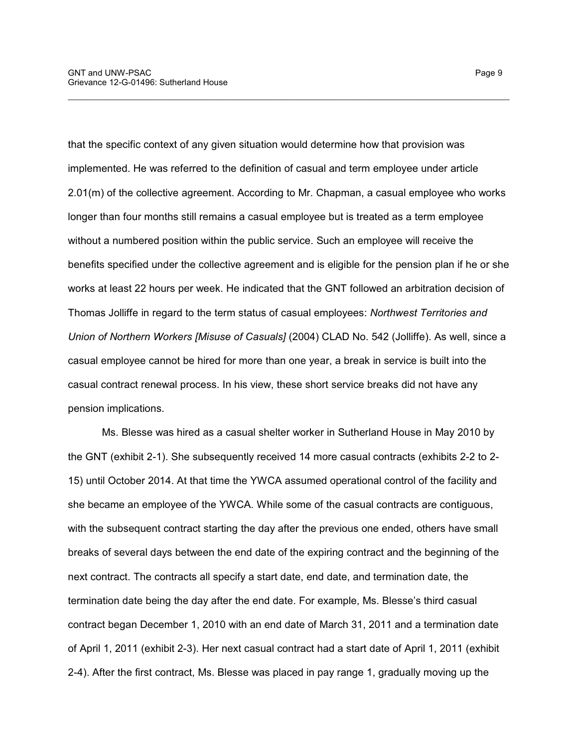that the specific context of any given situation would determine how that provision was implemented. He was referred to the definition of casual and term employee under article 2.01(m) of the collective agreement. According to Mr. Chapman, a casual employee who works longer than four months still remains a casual employee but is treated as a term employee without a numbered position within the public service. Such an employee will receive the benefits specified under the collective agreement and is eligible for the pension plan if he or she works at least 22 hours per week. He indicated that the GNT followed an arbitration decision of Thomas Jolliffe in regard to the term status of casual employees: *Northwest Territories and Union of Northern Workers [Misuse of Casuals]* (2004) CLAD No. 542 (Jolliffe). As well, since a casual employee cannot be hired for more than one year, a break in service is built into the casual contract renewal process. In his view, these short service breaks did not have any pension implications.

\_\_\_\_\_\_\_\_\_\_\_\_\_\_\_\_\_\_\_\_\_\_\_\_\_\_\_\_\_\_\_\_\_\_\_\_\_\_\_\_\_\_\_\_\_\_\_\_\_\_\_\_\_\_\_\_\_\_\_\_\_\_\_\_\_\_\_\_\_\_\_\_\_\_\_\_\_\_

Ms. Blesse was hired as a casual shelter worker in Sutherland House in May 2010 by the GNT (exhibit 2-1). She subsequently received 14 more casual contracts (exhibits 2-2 to 2- 15) until October 2014. At that time the YWCA assumed operational control of the facility and she became an employee of the YWCA. While some of the casual contracts are contiguous, with the subsequent contract starting the day after the previous one ended, others have small breaks of several days between the end date of the expiring contract and the beginning of the next contract. The contracts all specify a start date, end date, and termination date, the termination date being the day after the end date. For example, Ms. Blesse's third casual contract began December 1, 2010 with an end date of March 31, 2011 and a termination date of April 1, 2011 (exhibit 2-3). Her next casual contract had a start date of April 1, 2011 (exhibit 2-4). After the first contract, Ms. Blesse was placed in pay range 1, gradually moving up the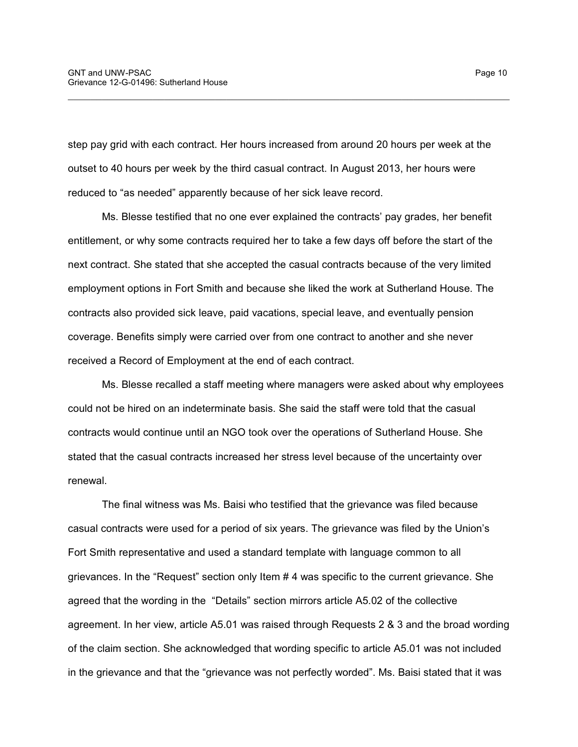step pay grid with each contract. Her hours increased from around 20 hours per week at the outset to 40 hours per week by the third casual contract. In August 2013, her hours were reduced to "as needed" apparently because of her sick leave record.

\_\_\_\_\_\_\_\_\_\_\_\_\_\_\_\_\_\_\_\_\_\_\_\_\_\_\_\_\_\_\_\_\_\_\_\_\_\_\_\_\_\_\_\_\_\_\_\_\_\_\_\_\_\_\_\_\_\_\_\_\_\_\_\_\_\_\_\_\_\_\_\_\_\_\_\_\_\_

Ms. Blesse testified that no one ever explained the contracts' pay grades, her benefit entitlement, or why some contracts required her to take a few days off before the start of the next contract. She stated that she accepted the casual contracts because of the very limited employment options in Fort Smith and because she liked the work at Sutherland House. The contracts also provided sick leave, paid vacations, special leave, and eventually pension coverage. Benefits simply were carried over from one contract to another and she never received a Record of Employment at the end of each contract.

Ms. Blesse recalled a staff meeting where managers were asked about why employees could not be hired on an indeterminate basis. She said the staff were told that the casual contracts would continue until an NGO took over the operations of Sutherland House. She stated that the casual contracts increased her stress level because of the uncertainty over renewal.

The final witness was Ms. Baisi who testified that the grievance was filed because casual contracts were used for a period of six years. The grievance was filed by the Union's Fort Smith representative and used a standard template with language common to all grievances. In the "Request" section only Item # 4 was specific to the current grievance. She agreed that the wording in the "Details" section mirrors article A5.02 of the collective agreement. In her view, article A5.01 was raised through Requests 2 & 3 and the broad wording of the claim section. She acknowledged that wording specific to article A5.01 was not included in the grievance and that the "grievance was not perfectly worded". Ms. Baisi stated that it was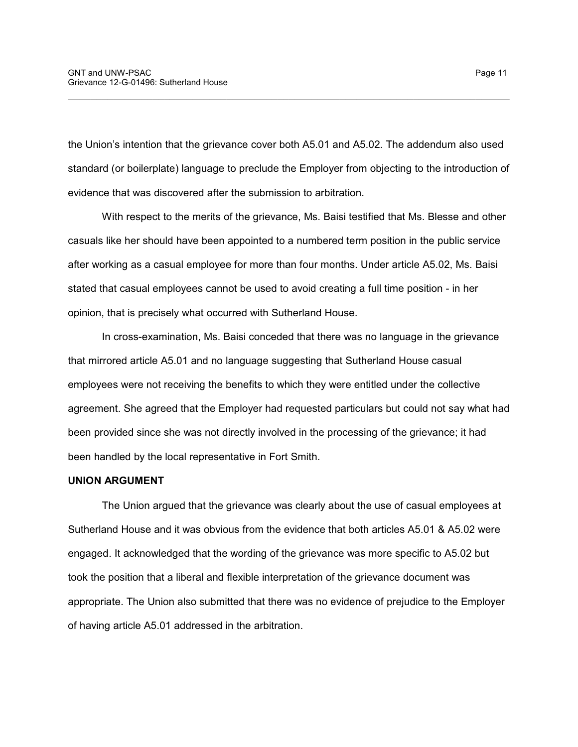the Union's intention that the grievance cover both A5.01 and A5.02. The addendum also used standard (or boilerplate) language to preclude the Employer from objecting to the introduction of evidence that was discovered after the submission to arbitration.

\_\_\_\_\_\_\_\_\_\_\_\_\_\_\_\_\_\_\_\_\_\_\_\_\_\_\_\_\_\_\_\_\_\_\_\_\_\_\_\_\_\_\_\_\_\_\_\_\_\_\_\_\_\_\_\_\_\_\_\_\_\_\_\_\_\_\_\_\_\_\_\_\_\_\_\_\_\_

With respect to the merits of the grievance, Ms. Baisi testified that Ms. Blesse and other casuals like her should have been appointed to a numbered term position in the public service after working as a casual employee for more than four months. Under article A5.02, Ms. Baisi stated that casual employees cannot be used to avoid creating a full time position - in her opinion, that is precisely what occurred with Sutherland House.

In cross-examination, Ms. Baisi conceded that there was no language in the grievance that mirrored article A5.01 and no language suggesting that Sutherland House casual employees were not receiving the benefits to which they were entitled under the collective agreement. She agreed that the Employer had requested particulars but could not say what had been provided since she was not directly involved in the processing of the grievance; it had been handled by the local representative in Fort Smith.

### **UNION ARGUMENT**

The Union argued that the grievance was clearly about the use of casual employees at Sutherland House and it was obvious from the evidence that both articles A5.01 & A5.02 were engaged. It acknowledged that the wording of the grievance was more specific to A5.02 but took the position that a liberal and flexible interpretation of the grievance document was appropriate. The Union also submitted that there was no evidence of prejudice to the Employer of having article A5.01 addressed in the arbitration.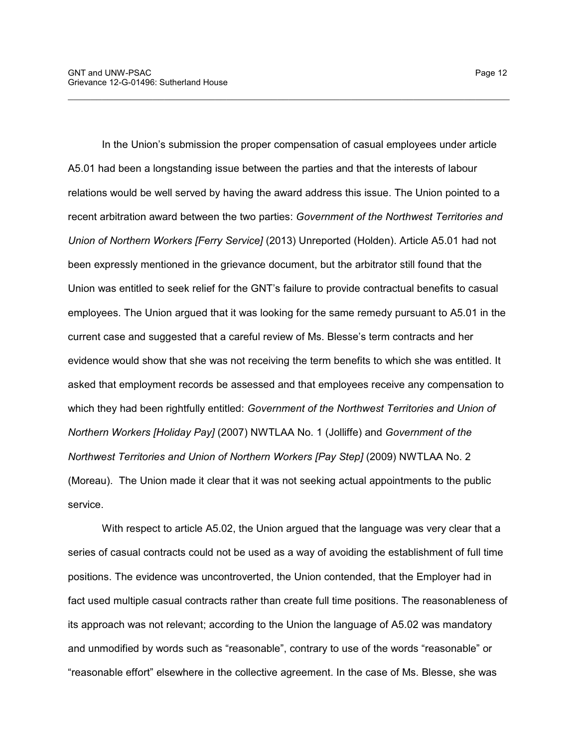In the Union's submission the proper compensation of casual employees under article A5.01 had been a longstanding issue between the parties and that the interests of labour relations would be well served by having the award address this issue. The Union pointed to a recent arbitration award between the two parties: *Government of the Northwest Territories and Union of Northern Workers [Ferry Service]* (2013) Unreported (Holden). Article A5.01 had not been expressly mentioned in the grievance document, but the arbitrator still found that the Union was entitled to seek relief for the GNT's failure to provide contractual benefits to casual employees. The Union argued that it was looking for the same remedy pursuant to A5.01 in the current case and suggested that a careful review of Ms. Blesse's term contracts and her evidence would show that she was not receiving the term benefits to which she was entitled. It asked that employment records be assessed and that employees receive any compensation to which they had been rightfully entitled: *Government of the Northwest Territories and Union of Northern Workers [Holiday Pay]* (2007) NWTLAA No. 1 (Jolliffe) and *Government of the Northwest Territories and Union of Northern Workers [Pay Step]* (2009) NWTLAA No. 2 (Moreau). The Union made it clear that it was not seeking actual appointments to the public service.

\_\_\_\_\_\_\_\_\_\_\_\_\_\_\_\_\_\_\_\_\_\_\_\_\_\_\_\_\_\_\_\_\_\_\_\_\_\_\_\_\_\_\_\_\_\_\_\_\_\_\_\_\_\_\_\_\_\_\_\_\_\_\_\_\_\_\_\_\_\_\_\_\_\_\_\_\_\_

With respect to article A5.02, the Union argued that the language was very clear that a series of casual contracts could not be used as a way of avoiding the establishment of full time positions. The evidence was uncontroverted, the Union contended, that the Employer had in fact used multiple casual contracts rather than create full time positions. The reasonableness of its approach was not relevant; according to the Union the language of A5.02 was mandatory and unmodified by words such as "reasonable", contrary to use of the words "reasonable" or "reasonable effort" elsewhere in the collective agreement. In the case of Ms. Blesse, she was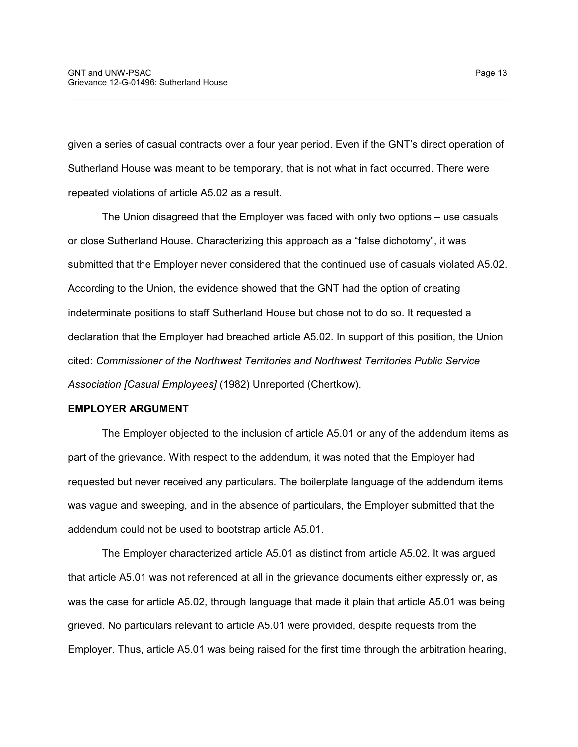given a series of casual contracts over a four year period. Even if the GNT's direct operation of Sutherland House was meant to be temporary, that is not what in fact occurred. There were repeated violations of article A5.02 as a result.

\_\_\_\_\_\_\_\_\_\_\_\_\_\_\_\_\_\_\_\_\_\_\_\_\_\_\_\_\_\_\_\_\_\_\_\_\_\_\_\_\_\_\_\_\_\_\_\_\_\_\_\_\_\_\_\_\_\_\_\_\_\_\_\_\_\_\_\_\_\_\_\_\_\_\_\_\_\_

The Union disagreed that the Employer was faced with only two options – use casuals or close Sutherland House. Characterizing this approach as a "false dichotomy", it was submitted that the Employer never considered that the continued use of casuals violated A5.02. According to the Union, the evidence showed that the GNT had the option of creating indeterminate positions to staff Sutherland House but chose not to do so. It requested a declaration that the Employer had breached article A5.02. In support of this position, the Union cited: *Commissioner of the Northwest Territories and Northwest Territories Public Service Association [Casual Employees]* (1982) Unreported (Chertkow).

### **EMPLOYER ARGUMENT**

The Employer objected to the inclusion of article A5.01 or any of the addendum items as part of the grievance. With respect to the addendum, it was noted that the Employer had requested but never received any particulars. The boilerplate language of the addendum items was vague and sweeping, and in the absence of particulars, the Employer submitted that the addendum could not be used to bootstrap article A5.01.

The Employer characterized article A5.01 as distinct from article A5.02. It was argued that article A5.01 was not referenced at all in the grievance documents either expressly or, as was the case for article A5.02, through language that made it plain that article A5.01 was being grieved. No particulars relevant to article A5.01 were provided, despite requests from the Employer. Thus, article A5.01 was being raised for the first time through the arbitration hearing,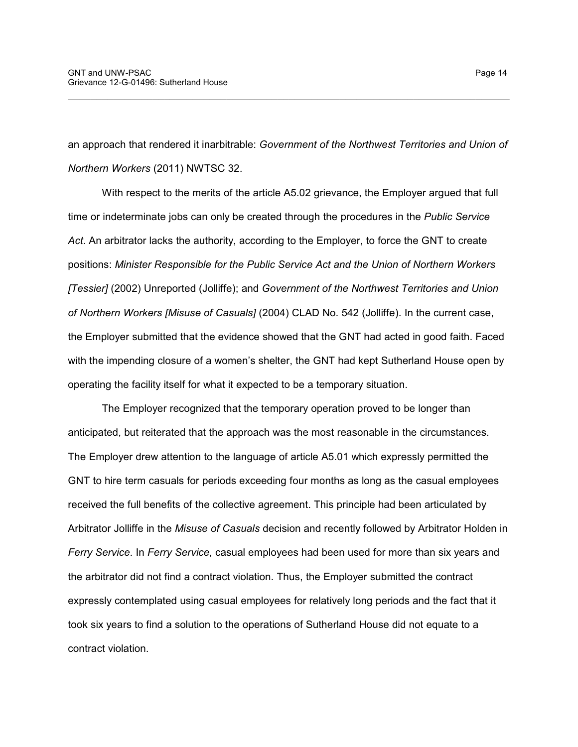an approach that rendered it inarbitrable: *Government of the Northwest Territories and Union of Northern Workers* (2011) NWTSC 32.

\_\_\_\_\_\_\_\_\_\_\_\_\_\_\_\_\_\_\_\_\_\_\_\_\_\_\_\_\_\_\_\_\_\_\_\_\_\_\_\_\_\_\_\_\_\_\_\_\_\_\_\_\_\_\_\_\_\_\_\_\_\_\_\_\_\_\_\_\_\_\_\_\_\_\_\_\_\_

With respect to the merits of the article A5.02 grievance, the Employer argued that full time or indeterminate jobs can only be created through the procedures in the *Public Service Act*. An arbitrator lacks the authority, according to the Employer, to force the GNT to create positions: *Minister Responsible for the Public Service Act and the Union of Northern Workers [Tessier]* (2002) Unreported (Jolliffe); and *Government of the Northwest Territories and Union of Northern Workers [Misuse of Casuals]* (2004) CLAD No. 542 (Jolliffe). In the current case, the Employer submitted that the evidence showed that the GNT had acted in good faith. Faced with the impending closure of a women's shelter, the GNT had kept Sutherland House open by operating the facility itself for what it expected to be a temporary situation.

The Employer recognized that the temporary operation proved to be longer than anticipated, but reiterated that the approach was the most reasonable in the circumstances. The Employer drew attention to the language of article A5.01 which expressly permitted the GNT to hire term casuals for periods exceeding four months as long as the casual employees received the full benefits of the collective agreement. This principle had been articulated by Arbitrator Jolliffe in the *Misuse of Casuals* decision and recently followed by Arbitrator Holden in *Ferry Service*. In *Ferry Service,* casual employees had been used for more than six years and the arbitrator did not find a contract violation. Thus, the Employer submitted the contract expressly contemplated using casual employees for relatively long periods and the fact that it took six years to find a solution to the operations of Sutherland House did not equate to a contract violation.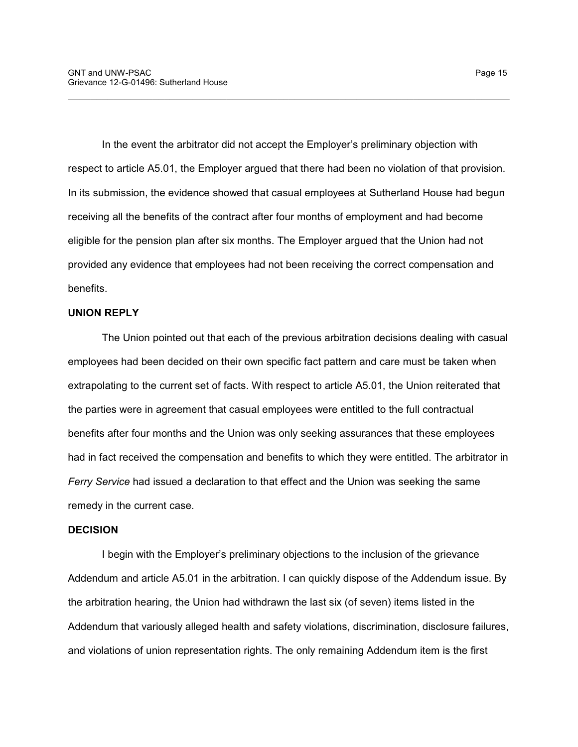In the event the arbitrator did not accept the Employer's preliminary objection with respect to article A5.01, the Employer argued that there had been no violation of that provision. In its submission, the evidence showed that casual employees at Sutherland House had begun receiving all the benefits of the contract after four months of employment and had become eligible for the pension plan after six months. The Employer argued that the Union had not provided any evidence that employees had not been receiving the correct compensation and benefits.

\_\_\_\_\_\_\_\_\_\_\_\_\_\_\_\_\_\_\_\_\_\_\_\_\_\_\_\_\_\_\_\_\_\_\_\_\_\_\_\_\_\_\_\_\_\_\_\_\_\_\_\_\_\_\_\_\_\_\_\_\_\_\_\_\_\_\_\_\_\_\_\_\_\_\_\_\_\_

## **UNION REPLY**

The Union pointed out that each of the previous arbitration decisions dealing with casual employees had been decided on their own specific fact pattern and care must be taken when extrapolating to the current set of facts. With respect to article A5.01, the Union reiterated that the parties were in agreement that casual employees were entitled to the full contractual benefits after four months and the Union was only seeking assurances that these employees had in fact received the compensation and benefits to which they were entitled. The arbitrator in *Ferry Service* had issued a declaration to that effect and the Union was seeking the same remedy in the current case.

### **DECISION**

I begin with the Employer's preliminary objections to the inclusion of the grievance Addendum and article A5.01 in the arbitration. I can quickly dispose of the Addendum issue. By the arbitration hearing, the Union had withdrawn the last six (of seven) items listed in the Addendum that variously alleged health and safety violations, discrimination, disclosure failures, and violations of union representation rights. The only remaining Addendum item is the first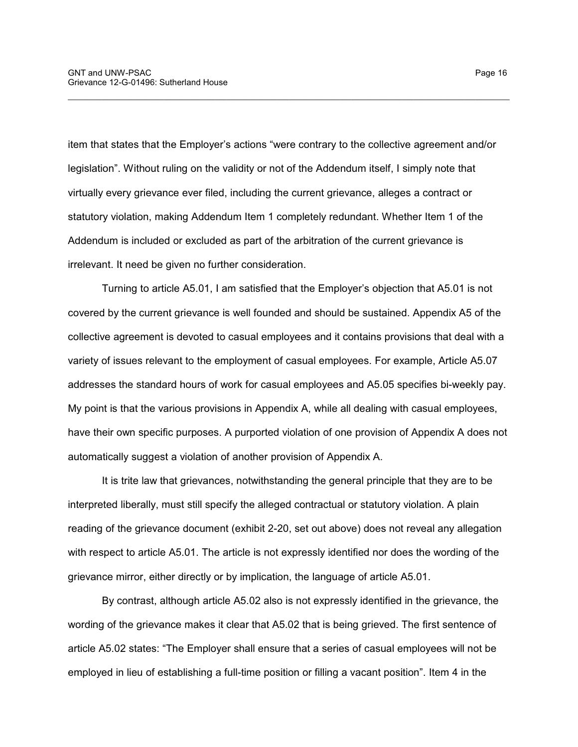item that states that the Employer's actions "were contrary to the collective agreement and/or legislation". Without ruling on the validity or not of the Addendum itself, I simply note that virtually every grievance ever filed, including the current grievance, alleges a contract or statutory violation, making Addendum Item 1 completely redundant. Whether Item 1 of the Addendum is included or excluded as part of the arbitration of the current grievance is irrelevant. It need be given no further consideration.

\_\_\_\_\_\_\_\_\_\_\_\_\_\_\_\_\_\_\_\_\_\_\_\_\_\_\_\_\_\_\_\_\_\_\_\_\_\_\_\_\_\_\_\_\_\_\_\_\_\_\_\_\_\_\_\_\_\_\_\_\_\_\_\_\_\_\_\_\_\_\_\_\_\_\_\_\_\_

Turning to article A5.01, I am satisfied that the Employer's objection that A5.01 is not covered by the current grievance is well founded and should be sustained. Appendix A5 of the collective agreement is devoted to casual employees and it contains provisions that deal with a variety of issues relevant to the employment of casual employees. For example, Article A5.07 addresses the standard hours of work for casual employees and A5.05 specifies bi-weekly pay. My point is that the various provisions in Appendix A, while all dealing with casual employees, have their own specific purposes. A purported violation of one provision of Appendix A does not automatically suggest a violation of another provision of Appendix A.

It is trite law that grievances, notwithstanding the general principle that they are to be interpreted liberally, must still specify the alleged contractual or statutory violation. A plain reading of the grievance document (exhibit 2-20, set out above) does not reveal any allegation with respect to article A5.01. The article is not expressly identified nor does the wording of the grievance mirror, either directly or by implication, the language of article A5.01.

By contrast, although article A5.02 also is not expressly identified in the grievance, the wording of the grievance makes it clear that A5.02 that is being grieved. The first sentence of article A5.02 states: "The Employer shall ensure that a series of casual employees will not be employed in lieu of establishing a full-time position or filling a vacant position". Item 4 in the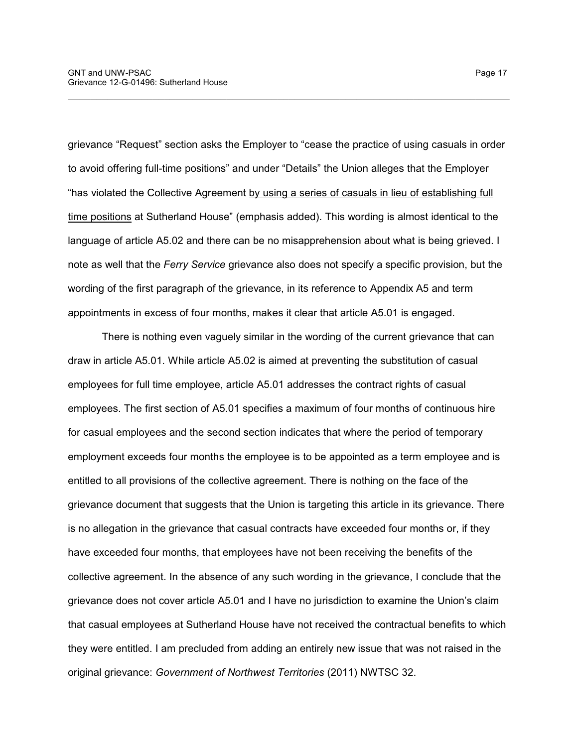grievance "Request" section asks the Employer to "cease the practice of using casuals in order to avoid offering full-time positions" and under "Details" the Union alleges that the Employer "has violated the Collective Agreement by using a series of casuals in lieu of establishing full time positions at Sutherland House" (emphasis added). This wording is almost identical to the language of article A5.02 and there can be no misapprehension about what is being grieved. I note as well that the *Ferry Service* grievance also does not specify a specific provision, but the wording of the first paragraph of the grievance, in its reference to Appendix A5 and term appointments in excess of four months, makes it clear that article A5.01 is engaged.

\_\_\_\_\_\_\_\_\_\_\_\_\_\_\_\_\_\_\_\_\_\_\_\_\_\_\_\_\_\_\_\_\_\_\_\_\_\_\_\_\_\_\_\_\_\_\_\_\_\_\_\_\_\_\_\_\_\_\_\_\_\_\_\_\_\_\_\_\_\_\_\_\_\_\_\_\_\_

There is nothing even vaguely similar in the wording of the current grievance that can draw in article A5.01. While article A5.02 is aimed at preventing the substitution of casual employees for full time employee, article A5.01 addresses the contract rights of casual employees. The first section of A5.01 specifies a maximum of four months of continuous hire for casual employees and the second section indicates that where the period of temporary employment exceeds four months the employee is to be appointed as a term employee and is entitled to all provisions of the collective agreement. There is nothing on the face of the grievance document that suggests that the Union is targeting this article in its grievance. There is no allegation in the grievance that casual contracts have exceeded four months or, if they have exceeded four months, that employees have not been receiving the benefits of the collective agreement. In the absence of any such wording in the grievance, I conclude that the grievance does not cover article A5.01 and I have no jurisdiction to examine the Union's claim that casual employees at Sutherland House have not received the contractual benefits to which they were entitled. I am precluded from adding an entirely new issue that was not raised in the original grievance: *Government of Northwest Territories* (2011) NWTSC 32.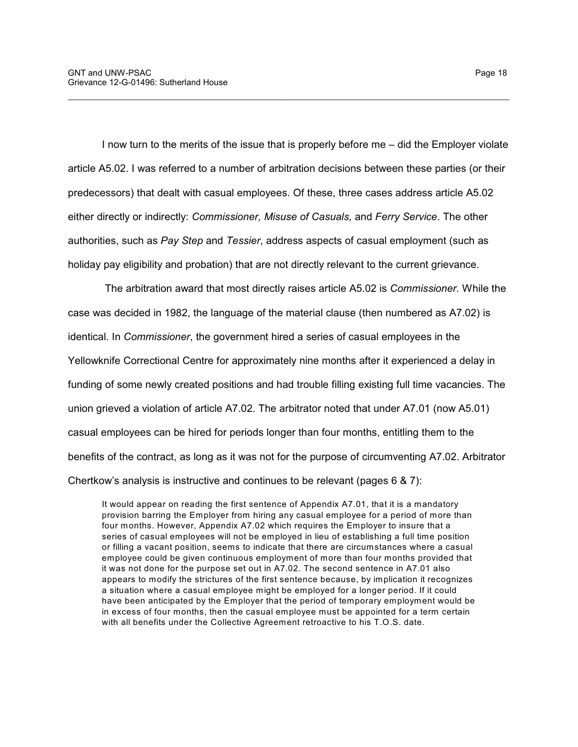I now turn to the merits of the issue that is properly before me – did the Employer violate article A5.02. I was referred to a number of arbitration decisions between these parties (or their predecessors) that dealt with casual employees. Of these, three cases address article A5.02 either directly or indirectly: *Commissioner, Misuse of Casuals,* and *Ferry Service*. The other authorities, such as *Pay Step* and *Tessier*, address aspects of casual employment (such as holiday pay eligibility and probation) that are not directly relevant to the current grievance.

\_\_\_\_\_\_\_\_\_\_\_\_\_\_\_\_\_\_\_\_\_\_\_\_\_\_\_\_\_\_\_\_\_\_\_\_\_\_\_\_\_\_\_\_\_\_\_\_\_\_\_\_\_\_\_\_\_\_\_\_\_\_\_\_\_\_\_\_\_\_\_\_\_\_\_\_\_\_

 The arbitration award that most directly raises article A5.02 is *Commissioner.* While the case was decided in 1982, the language of the material clause (then numbered as A7.02) is identical. In *Commissioner*, the government hired a series of casual employees in the Yellowknife Correctional Centre for approximately nine months after it experienced a delay in funding of some newly created positions and had trouble filling existing full time vacancies. The union grieved a violation of article A7.02. The arbitrator noted that under A7.01 (now A5.01) casual employees can be hired for periods longer than four months, entitling them to the benefits of the contract, as long as it was not for the purpose of circumventing A7.02. Arbitrator Chertkow's analysis is instructive and continues to be relevant (pages 6 & 7):

It would appear on reading the first sentence of Appendix A7.01, that it is a mandatory provision barring the Employer from hiring any casual employee for a period of more than four months. However, Appendix A7.02 which requires the Employer to insure that a series of casual employees will not be employed in lieu of establishing a full time position or filling a vacant position, seems to indicate that there are circumstances where a casual employee could be given continuous employment of more than four months provided that it was not done for the purpose set out in A7.02. The second sentence in A7.01 also appears to modify the strictures of the first sentence because, by implication it recognizes a situation where a casual employee might be employed for a longer period. If it could have been anticipated by the Employer that the period of temporary employment would be in excess of four months, then the casual employee must be appointed for a term certain with all benefits under the Collective Agreement retroactive to his T.O.S. date.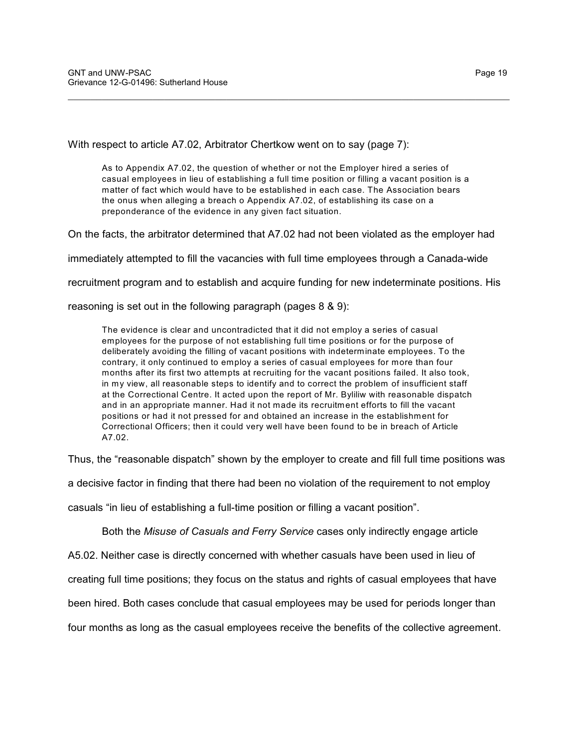With respect to article A7.02, Arbitrator Chertkow went on to say (page 7):

As to Appendix A7.02, the question of whether or not the Employer hired a series of casual employees in lieu of establishing a full time position or filling a vacant position is a matter of fact which would have to be established in each case. The Association bears the onus when alleging a breach o Appendix A7.02, of establishing its case on a preponderance of the evidence in any given fact situation.

\_\_\_\_\_\_\_\_\_\_\_\_\_\_\_\_\_\_\_\_\_\_\_\_\_\_\_\_\_\_\_\_\_\_\_\_\_\_\_\_\_\_\_\_\_\_\_\_\_\_\_\_\_\_\_\_\_\_\_\_\_\_\_\_\_\_\_\_\_\_\_\_\_\_\_\_\_\_

On the facts, the arbitrator determined that A7.02 had not been violated as the employer had

immediately attempted to fill the vacancies with full time employees through a Canada-wide

recruitment program and to establish and acquire funding for new indeterminate positions. His

reasoning is set out in the following paragraph (pages 8 & 9):

The evidence is clear and uncontradicted that it did not employ a series of casual employees for the purpose of not establishing full time positions or for the purpose of deliberately avoiding the filling of vacant positions with indeterminate employees. To the contrary, it only continued to employ a series of casual employees for more than four months after its first two attempts at recruiting for the vacant positions failed. It also took, in my view, all reasonable steps to identify and to correct the problem of insufficient staff at the Correctional Centre. It acted upon the report of Mr. Byliliw with reasonable dispatch and in an appropriate manner. Had it not made its recruitment efforts to fill the vacant positions or had it not pressed for and obtained an increase in the establishment for Correctional Officers; then it could very well have been found to be in breach of Article A7.02.

Thus, the "reasonable dispatch" shown by the employer to create and fill full time positions was

a decisive factor in finding that there had been no violation of the requirement to not employ

casuals "in lieu of establishing a full-time position or filling a vacant position".

Both the *Misuse of Casuals and Ferry Service* cases only indirectly engage article

A5.02. Neither case is directly concerned with whether casuals have been used in lieu of

creating full time positions; they focus on the status and rights of casual employees that have

been hired. Both cases conclude that casual employees may be used for periods longer than

four months as long as the casual employees receive the benefits of the collective agreement.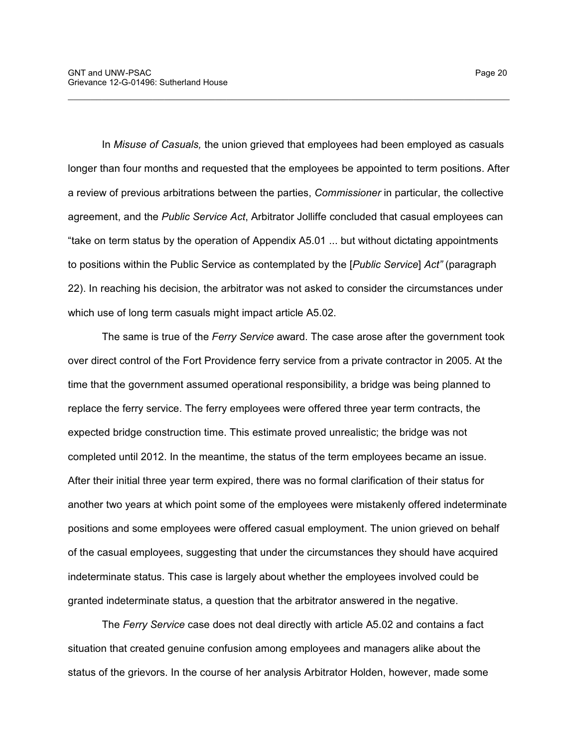In *Misuse of Casuals,* the union grieved that employees had been employed as casuals longer than four months and requested that the employees be appointed to term positions. After a review of previous arbitrations between the parties, *Commissioner* in particular, the collective agreement, and the *Public Service Act*, Arbitrator Jolliffe concluded that casual employees can "take on term status by the operation of Appendix A5.01 ... but without dictating appointments to positions within the Public Service as contemplated by the [*Public Service*] *Act"* (paragraph 22). In reaching his decision, the arbitrator was not asked to consider the circumstances under which use of long term casuals might impact article A5.02.

\_\_\_\_\_\_\_\_\_\_\_\_\_\_\_\_\_\_\_\_\_\_\_\_\_\_\_\_\_\_\_\_\_\_\_\_\_\_\_\_\_\_\_\_\_\_\_\_\_\_\_\_\_\_\_\_\_\_\_\_\_\_\_\_\_\_\_\_\_\_\_\_\_\_\_\_\_\_

The same is true of the *Ferry Service* award. The case arose after the government took over direct control of the Fort Providence ferry service from a private contractor in 2005. At the time that the government assumed operational responsibility, a bridge was being planned to replace the ferry service. The ferry employees were offered three year term contracts, the expected bridge construction time. This estimate proved unrealistic; the bridge was not completed until 2012. In the meantime, the status of the term employees became an issue. After their initial three year term expired, there was no formal clarification of their status for another two years at which point some of the employees were mistakenly offered indeterminate positions and some employees were offered casual employment. The union grieved on behalf of the casual employees, suggesting that under the circumstances they should have acquired indeterminate status. This case is largely about whether the employees involved could be granted indeterminate status, a question that the arbitrator answered in the negative.

The *Ferry Service* case does not deal directly with article A5.02 and contains a fact situation that created genuine confusion among employees and managers alike about the status of the grievors. In the course of her analysis Arbitrator Holden, however, made some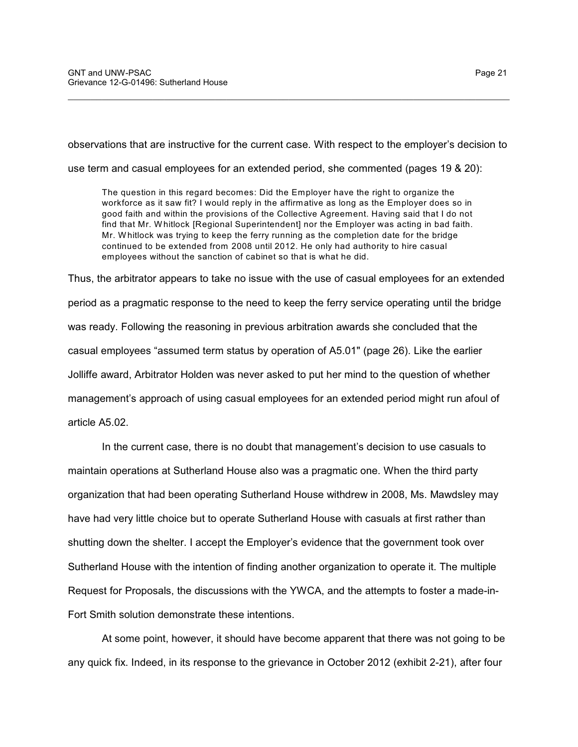observations that are instructive for the current case. With respect to the employer's decision to

\_\_\_\_\_\_\_\_\_\_\_\_\_\_\_\_\_\_\_\_\_\_\_\_\_\_\_\_\_\_\_\_\_\_\_\_\_\_\_\_\_\_\_\_\_\_\_\_\_\_\_\_\_\_\_\_\_\_\_\_\_\_\_\_\_\_\_\_\_\_\_\_\_\_\_\_\_\_

use term and casual employees for an extended period, she commented (pages 19 & 20):

The question in this regard becomes: Did the Employer have the right to organize the workforce as it saw fit? I would reply in the affirmative as long as the Employer does so in good faith and within the provisions of the Collective Agreement. Having said that I do not find that Mr. W hitlock [Regional Superintendent] nor the Employer was acting in bad faith. Mr. W hitlock was trying to keep the ferry running as the completion date for the bridge continued to be extended from 2008 until 2012. He only had authority to hire casual employees without the sanction of cabinet so that is what he did.

Thus, the arbitrator appears to take no issue with the use of casual employees for an extended period as a pragmatic response to the need to keep the ferry service operating until the bridge was ready. Following the reasoning in previous arbitration awards she concluded that the casual employees "assumed term status by operation of A5.01" (page 26). Like the earlier Jolliffe award, Arbitrator Holden was never asked to put her mind to the question of whether management's approach of using casual employees for an extended period might run afoul of article A5.02.

In the current case, there is no doubt that management's decision to use casuals to maintain operations at Sutherland House also was a pragmatic one. When the third party organization that had been operating Sutherland House withdrew in 2008, Ms. Mawdsley may have had very little choice but to operate Sutherland House with casuals at first rather than shutting down the shelter. I accept the Employer's evidence that the government took over Sutherland House with the intention of finding another organization to operate it. The multiple Request for Proposals, the discussions with the YWCA, and the attempts to foster a made-in-Fort Smith solution demonstrate these intentions.

At some point, however, it should have become apparent that there was not going to be any quick fix. Indeed, in its response to the grievance in October 2012 (exhibit 2-21), after four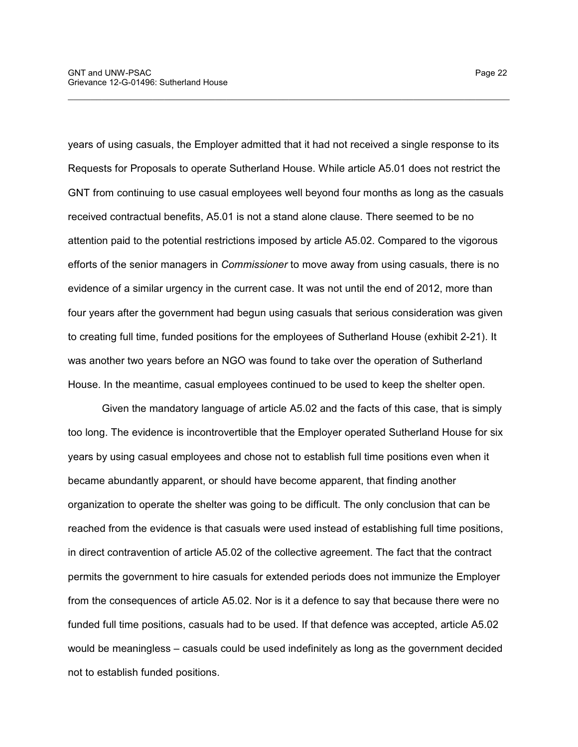years of using casuals, the Employer admitted that it had not received a single response to its Requests for Proposals to operate Sutherland House. While article A5.01 does not restrict the GNT from continuing to use casual employees well beyond four months as long as the casuals received contractual benefits, A5.01 is not a stand alone clause. There seemed to be no attention paid to the potential restrictions imposed by article A5.02. Compared to the vigorous efforts of the senior managers in *Commissioner* to move away from using casuals, there is no evidence of a similar urgency in the current case. It was not until the end of 2012, more than four years after the government had begun using casuals that serious consideration was given to creating full time, funded positions for the employees of Sutherland House (exhibit 2-21). It was another two years before an NGO was found to take over the operation of Sutherland House. In the meantime, casual employees continued to be used to keep the shelter open.

\_\_\_\_\_\_\_\_\_\_\_\_\_\_\_\_\_\_\_\_\_\_\_\_\_\_\_\_\_\_\_\_\_\_\_\_\_\_\_\_\_\_\_\_\_\_\_\_\_\_\_\_\_\_\_\_\_\_\_\_\_\_\_\_\_\_\_\_\_\_\_\_\_\_\_\_\_\_

Given the mandatory language of article A5.02 and the facts of this case, that is simply too long. The evidence is incontrovertible that the Employer operated Sutherland House for six years by using casual employees and chose not to establish full time positions even when it became abundantly apparent, or should have become apparent, that finding another organization to operate the shelter was going to be difficult. The only conclusion that can be reached from the evidence is that casuals were used instead of establishing full time positions, in direct contravention of article A5.02 of the collective agreement. The fact that the contract permits the government to hire casuals for extended periods does not immunize the Employer from the consequences of article A5.02. Nor is it a defence to say that because there were no funded full time positions, casuals had to be used. If that defence was accepted, article A5.02 would be meaningless – casuals could be used indefinitely as long as the government decided not to establish funded positions.